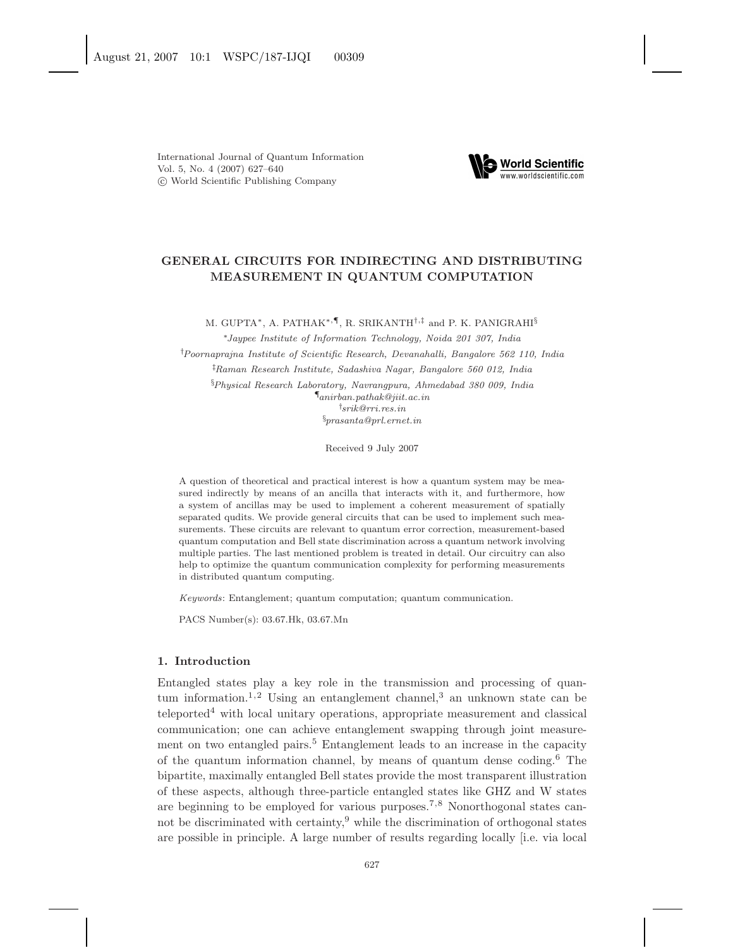

# **GENERAL CIRCUITS FOR INDIRECTING AND DISTRIBUTING MEASUREMENT IN QUANTUM COMPUTATION**

M. GUPTA∗, A. PATHAK∗*,*¶, R. SRIKANTH†*,*‡ and P. K. PANIGRAHI§

∗*Jaypee Institute of Information Technology, Noida 201 307, India*

† *Poornaprajna Institute of Scientific Research, Devanahalli, Bangalore 562 110, India* ‡ *Raman Research Institute, Sadashiva Nagar, Bangalore 560 012, India* § *Physical Research Laboratory, Navrangpura, Ahmedabad 380 009, India* ¶*anirban.pathak@jiit.ac.in* † *srik@rri.res.in*

§ *prasanta@prl.ernet.in*

Received 9 July 2007

A question of theoretical and practical interest is how a quantum system may be measured indirectly by means of an ancilla that interacts with it, and furthermore, how a system of ancillas may be used to implement a coherent measurement of spatially separated qudits. We provide general circuits that can be used to implement such measurements. These circuits are relevant to quantum error correction, measurement-based quantum computation and Bell state discrimination across a quantum network involving multiple parties. The last mentioned problem is treated in detail. Our circuitry can also help to optimize the quantum communication complexity for performing measurements in distributed quantum computing.

*Keywords*: Entanglement; quantum computation; quantum communication.

PACS Number(s): 03.67.Hk, 03.67.Mn

# **1. Introduction**

Entangled states play a key role in the transmission and processing of quantum information.<sup>1,2</sup> Using an entanglement channel,<sup>3</sup> an unknown state can be  $t$ eleported $4$  with local unitary operations, appropriate measurement and classical communication; one can achieve entanglement swapping through joint measurement on two entangled pairs.<sup>5</sup> Entanglement leads to an increase in the capacity of the quantum information channel, by means of quantum dense coding.<sup>6</sup> The bipartite, maximally entangled Bell states provide the most transparent illustration of these aspects, although three-particle entangled states like GHZ and W states are beginning to be employed for various purposes.<sup>7,8</sup> Nonorthogonal states cannot be discriminated with certainty, $9$  while the discrimination of orthogonal states are possible in principle. A large number of results regarding locally [i.e. via local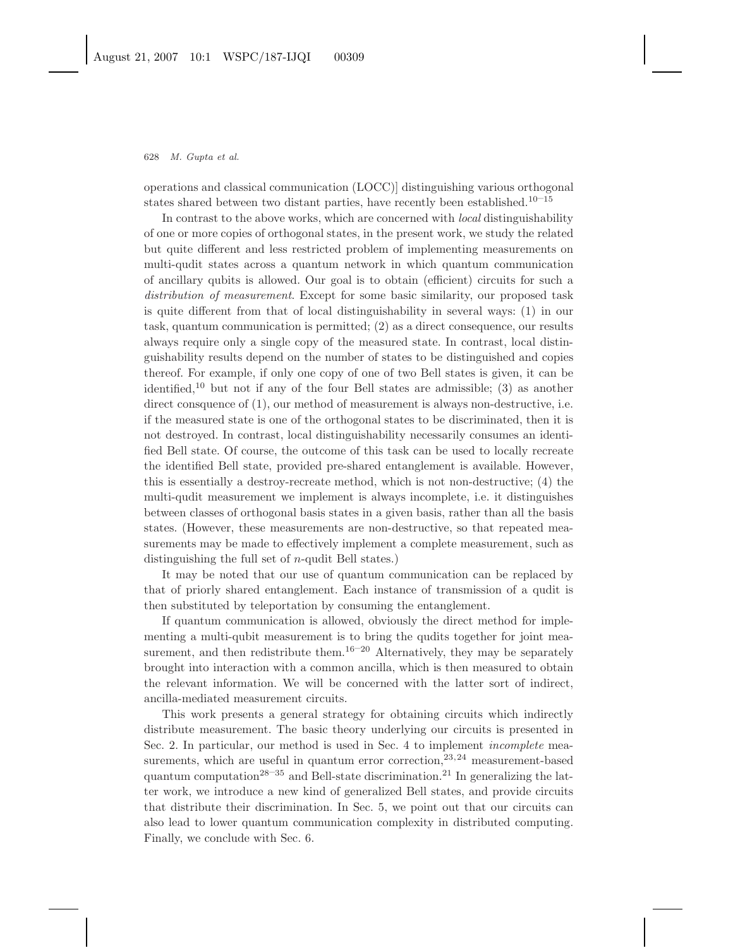operations and classical communication (LOCC)] distinguishing various orthogonal states shared between two distant parties, have recently been established.<sup>10–15</sup>

In contrast to the above works, which are concerned with *local* distinguishability of one or more copies of orthogonal states, in the present work, we study the related but quite different and less restricted problem of implementing measurements on multi-qudit states across a quantum network in which quantum communication of ancillary qubits is allowed. Our goal is to obtain (efficient) circuits for such a *distribution of measurement*. Except for some basic similarity, our proposed task is quite different from that of local distinguishability in several ways: (1) in our task, quantum communication is permitted; (2) as a direct consequence, our results always require only a single copy of the measured state. In contrast, local distinguishability results depend on the number of states to be distinguished and copies thereof. For example, if only one copy of one of two Bell states is given, it can be identified,<sup>10</sup> but not if any of the four Bell states are admissible; (3) as another direct consquence of  $(1)$ , our method of measurement is always non-destructive, i.e. if the measured state is one of the orthogonal states to be discriminated, then it is not destroyed. In contrast, local distinguishability necessarily consumes an identified Bell state. Of course, the outcome of this task can be used to locally recreate the identified Bell state, provided pre-shared entanglement is available. However, this is essentially a destroy-recreate method, which is not non-destructive; (4) the multi-qudit measurement we implement is always incomplete, i.e. it distinguishes between classes of orthogonal basis states in a given basis, rather than all the basis states. (However, these measurements are non-destructive, so that repeated measurements may be made to effectively implement a complete measurement, such as distinguishing the full set of  $n$ -qudit Bell states.)

It may be noted that our use of quantum communication can be replaced by that of priorly shared entanglement. Each instance of transmission of a qudit is then substituted by teleportation by consuming the entanglement.

If quantum communication is allowed, obviously the direct method for implementing a multi-qubit measurement is to bring the qudits together for joint measurement, and then redistribute them.<sup>16–20</sup> Alternatively, they may be separately brought into interaction with a common ancilla, which is then measured to obtain the relevant information. We will be concerned with the latter sort of indirect, ancilla-mediated measurement circuits.

This work presents a general strategy for obtaining circuits which indirectly distribute measurement. The basic theory underlying our circuits is presented in Sec. 2. In particular, our method is used in Sec. 4 to implement *incomplete* measurements, which are useful in quantum error correction, $2^{3,24}$  measurement-based quantum computation<sup>28–35</sup> and Bell-state discrimination.<sup>21</sup> In generalizing the latter work, we introduce a new kind of generalized Bell states, and provide circuits that distribute their discrimination. In Sec. 5, we point out that our circuits can also lead to lower quantum communication complexity in distributed computing. Finally, we conclude with Sec. 6.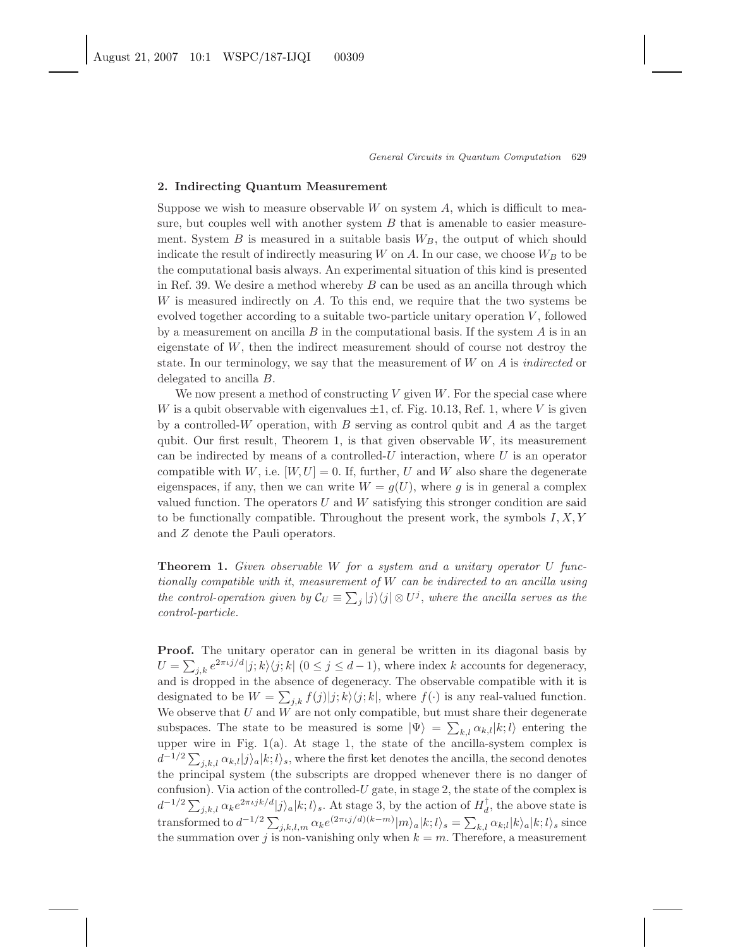# **2. Indirecting Quantum Measurement**

Suppose we wish to measure observable  $W$  on system  $A$ , which is difficult to measure, but couples well with another system  $B$  that is amenable to easier measurement. System B is measured in a suitable basis  $W_B$ , the output of which should indicate the result of indirectly measuring  $W$  on  $A$ . In our case, we choose  $W_B$  to be the computational basis always. An experimental situation of this kind is presented in Ref. 39. We desire a method whereby  $B$  can be used as an ancilla through which  $W$  is measured indirectly on  $A$ . To this end, we require that the two systems be evolved together according to a suitable two-particle unitary operation  $V$ , followed by a measurement on ancilla  $B$  in the computational basis. If the system  $A$  is in an eigenstate of W, then the indirect measurement should of course not destroy the state. In our terminology, we say that the measurement of W on A is *indirected* or delegated to ancilla B.

We now present a method of constructing  $V$  given  $W$ . For the special case where W is a qubit observable with eigenvalues  $\pm 1$ , cf. Fig. 10.13, Ref. 1, where V is given by a controlled- $W$  operation, with  $B$  serving as control qubit and  $A$  as the target qubit. Our first result, Theorem 1, is that given observable  $W$ , its measurement can be indirected by means of a controlled- $U$  interaction, where  $U$  is an operator compatible with W, i.e.  $[W, U] = 0$ . If, further, U and W also share the degenerate eigenspaces, if any, then we can write  $W = q(U)$ , where q is in general a complex valued function. The operators  $U$  and  $W$  satisfying this stronger condition are said to be functionally compatible. Throughout the present work, the symbols  $I, X, Y$ and Z denote the Pauli operators.

**Theorem 1.** *Given observable* W *for a system and a unitary operator* U *functionally compatible with it*, *measurement of* W *can be indirected to an ancilla using the control-operation given by*  $C_U \equiv \sum_j |j\rangle\langle j| \otimes U^j$ , *where the ancilla serves as the control-particle.*

Proof. The unitary operator can in general be written in its diagonal basis by  $U = \sum_{j,k} e^{2\pi i j/d} |j;k\rangle\langle j;k|$  ( $0 \le j \le d-1$ ), where index k accounts for degeneracy, and is dropped in the absence of degeneracy. The observable compatible with it is designated to be  $W = \sum_{j,k} f(j)|j;k\rangle\langle j;k|$ , where  $f(\cdot)$  is any real-valued function. We observe that  $U$  and  $W$  are not only compatible, but must share their degenerate subspaces. The state to be measured is some  $|\Psi\rangle = \sum_{k,l} \alpha_{k,l} |k; l\rangle$  entering the upper wire in Fig.  $1(a)$ . At stage 1, the state of the ancilla-system complex is  $d^{-1/2}\sum_{j,k,l}\alpha_{k,l}|j\rangle_a|k;l\rangle_s,$  where the first ket denotes the ancilla, the second denotes the principal system (the subscripts are dropped whenever there is no danger of confusion). Via action of the controlled- $U$  gate, in stage 2, the state of the complex is  $d^{-1/2} \sum_{j,k,l} \alpha_k e^{2\pi \iota jk/d} |j\rangle_a |k;l\rangle_s$ . At stage 3, by the action of  $H_d^{\dagger}$ , the above state is transformed to  $d^{-1/2} \sum_{j,k,l,m} \alpha_k e^{(2\pi \iota j/d)(k-m)} |m\rangle_a |k;l\rangle_s = \sum_{k,l} \alpha_{k;l} |k\rangle_a |k;l\rangle_s$  since the summation over j is non-vanishing only when  $k = m$ . Therefore, a measurement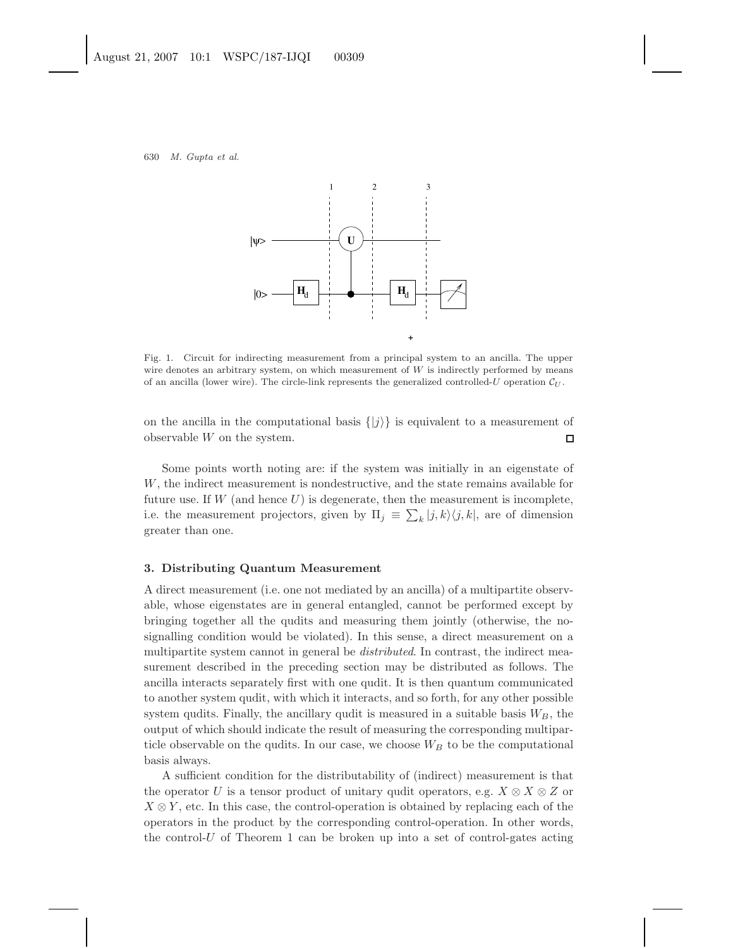

Fig. 1. Circuit for indirecting measurement from a principal system to an ancilla. The upper wire denotes an arbitrary system, on which measurement of *W* is indirectly performed by means of an ancilla (lower wire). The circle-link represents the generalized controlled- $U$  operation  $\mathcal{C}_U$ .

on the ancilla in the computational basis  $\{|j\rangle\}$  is equivalent to a measurement of observable W on the system.  $\Box$ 

Some points worth noting are: if the system was initially in an eigenstate of W, the indirect measurement is nondestructive, and the state remains available for future use. If  $W$  (and hence  $U$ ) is degenerate, then the measurement is incomplete, i.e. the measurement projectors, given by  $\Pi_j \equiv \sum_k |j,k\rangle \langle j,k|$ , are of dimension greater than one.

### **3. Distributing Quantum Measurement**

A direct measurement (i.e. one not mediated by an ancilla) of a multipartite observable, whose eigenstates are in general entangled, cannot be performed except by bringing together all the qudits and measuring them jointly (otherwise, the nosignalling condition would be violated). In this sense, a direct measurement on a multipartite system cannot in general be *distributed*. In contrast, the indirect measurement described in the preceding section may be distributed as follows. The ancilla interacts separately first with one qudit. It is then quantum communicated to another system qudit, with which it interacts, and so forth, for any other possible system qudits. Finally, the ancillary qudit is measured in a suitable basis  $W_B$ , the output of which should indicate the result of measuring the corresponding multiparticle observable on the qudits. In our case, we choose  $W_B$  to be the computational basis always.

A sufficient condition for the distributability of (indirect) measurement is that the operator U is a tensor product of unitary qudit operators, e.g.  $X \otimes X \otimes Z$  or  $X \otimes Y$ , etc. In this case, the control-operation is obtained by replacing each of the operators in the product by the corresponding control-operation. In other words, the control-U of Theorem 1 can be broken up into a set of control-gates acting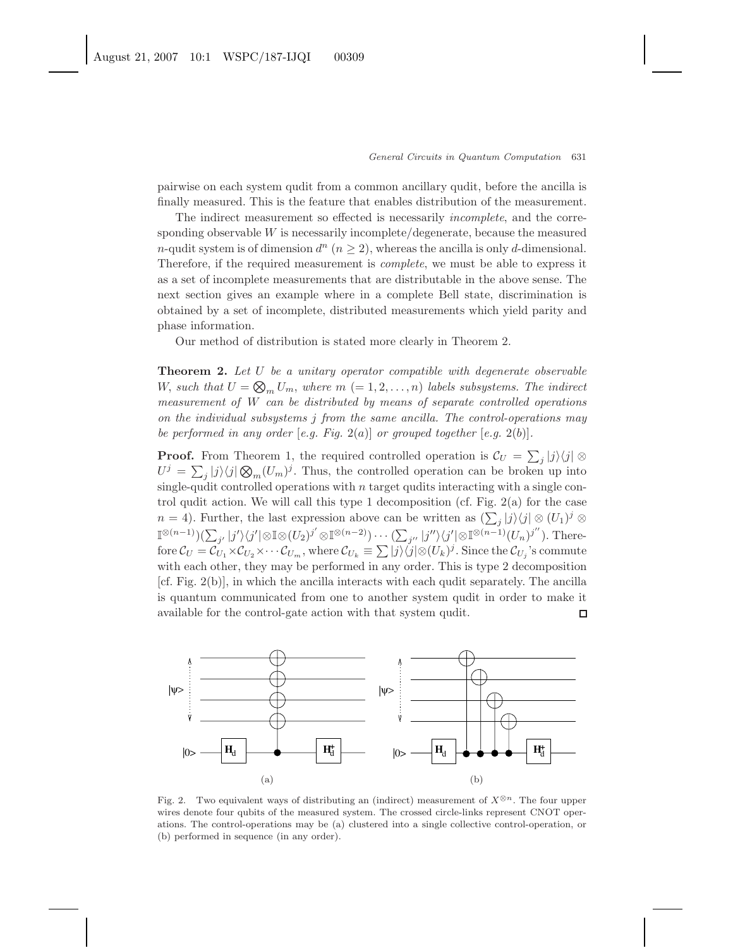pairwise on each system qudit from a common ancillary qudit, before the ancilla is finally measured. This is the feature that enables distribution of the measurement.

The indirect measurement so effected is necessarily *incomplete*, and the corresponding observable W is necessarily incomplete/degenerate, because the measured n-qudit system is of dimension  $d^n$   $(n \geq 2)$ , whereas the ancilla is only d-dimensional. Therefore, if the required measurement is *complete*, we must be able to express it as a set of incomplete measurements that are distributable in the above sense. The next section gives an example where in a complete Bell state, discrimination is obtained by a set of incomplete, distributed measurements which yield parity and phase information.

Our method of distribution is stated more clearly in Theorem 2.

**Theorem 2.** *Let* U *be a unitary operator compatible with degenerate observable* W, such that  $U = \bigotimes_m U_m$ , where  $m = [1, 2, \ldots, n)$  labels subsystems. The indirect *measurement of* W *can be distributed by means of separate controlled operations on the individual subsystems* j *from the same ancilla. The control-operations may be performed in any order* [*e.g. Fig.* 2(a)] *or grouped together* [*e.g.* 2(b)]*.*

**Proof.** From Theorem 1, the required controlled operation is  $\mathcal{C}_U = \sum_j |j\rangle\langle j| \otimes j$  $U^j = \sum_j |j\rangle\langle j| \bigotimes_m (U_m)^j$ . Thus, the controlled operation can be broken up into single-qudit controlled operations with  $n$  target qudits interacting with a single control qudit action. We will call this type 1 decomposition (cf. Fig.  $2(a)$ ) for the case  $n = 4$ ). Further, the last expression above can be written as  $(\sum_j |j\rangle\langle j| \otimes (U_1)^j \otimes$  $\mathbb{I}^{\otimes (n-1)}(\sum_{j'} |j'\rangle\langle j'|\otimes \mathbb{I}\otimes (U_2)^{j'}\otimes \mathbb{I}^{\otimes (n-2)})\cdots(\sum_{j''} |j''\rangle\langle j'|\otimes \mathbb{I}^{\otimes (n-1)}(U_n)^{j''}).$  Therefore  $\mathcal{C}_U = \mathcal{C}_{U_1} \times \mathcal{C}_{U_2} \times \cdots \mathcal{C}_{U_m}$ , where  $\mathcal{C}_{U_k} \equiv \sum |j\rangle\langle j| \otimes (U_k)^j$ . Since the  $\mathcal{C}_{U_j}$ 's commute with each other, they may be performed in any order. This is type 2 decomposition [cf. Fig. 2(b)], in which the ancilla interacts with each qudit separately. The ancilla is quantum communicated from one to another system qudit in order to make it available for the control-gate action with that system qudit. □



Fig. 2. Two equivalent ways of distributing an (indirect) measurement of  $X^{\otimes n}$ . The four upper wires denote four qubits of the measured system. The crossed circle-links represent CNOT operations. The control-operations may be (a) clustered into a single collective control-operation, or (b) performed in sequence (in any order).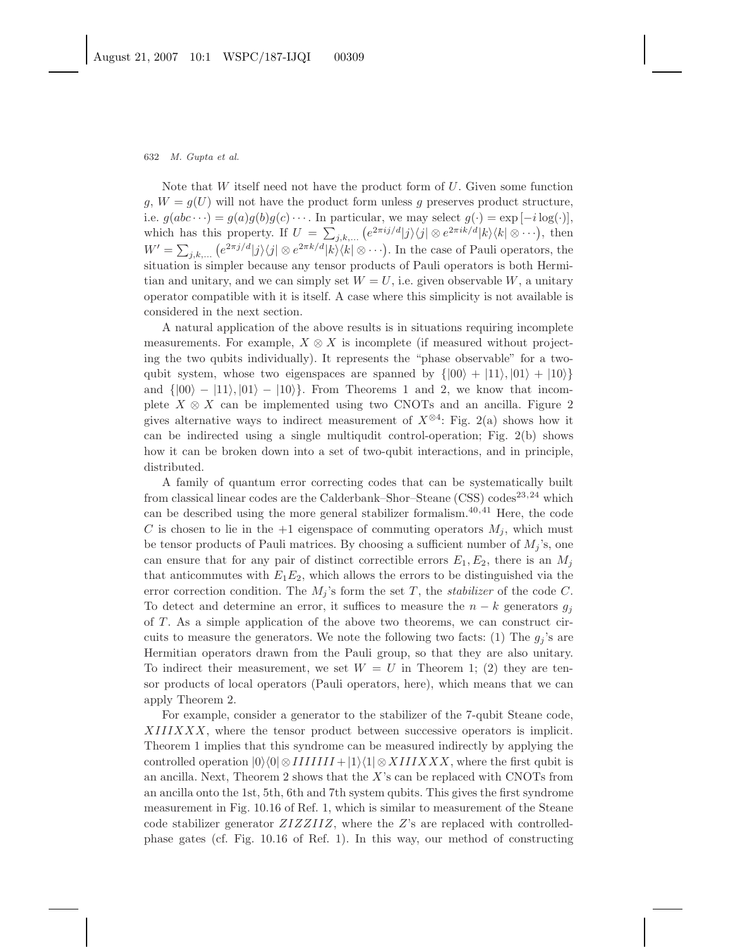#### 632 *M. Gupta et al.*

Note that  $W$  itself need not have the product form of  $U$ . Given some function  $g, W = g(U)$  will not have the product form unless g preserves product structure, i.e.  $g(abc \cdots) = g(a)g(b)g(c) \cdots$ . In particular, we may select  $g(\cdot) = \exp[-i \log(\cdot)],$ which has this property. If  $U = \sum_{j,k,...} \left( e^{2\pi i j/d} |j\rangle\langle j| \otimes e^{2\pi i k/d} |k\rangle\langle k| \otimes \cdots \right)$ , then  $W' = \sum_{j,k,\dots} \left( e^{2\pi j/d} |j\rangle\langle j| \otimes e^{2\pi k/d} |k\rangle\langle k| \otimes \cdots \right)$ . In the case of Pauli operators, the situation is simpler because any tensor products of Pauli operators is both Hermitian and unitary, and we can simply set  $W = U$ , i.e. given observable W, a unitary operator compatible with it is itself. A case where this simplicity is not available is considered in the next section.

A natural application of the above results is in situations requiring incomplete measurements. For example,  $X \otimes X$  is incomplete (if measured without projecting the two qubits individually). It represents the "phase observable" for a twoqubit system, whose two eigenspaces are spanned by  $\{ |00\rangle + |11\rangle, |01\rangle + |10\rangle \}$ and  $\{|00\rangle - |11\rangle, |01\rangle - |10\rangle\}$ . From Theorems 1 and 2, we know that incomplete  $X \otimes X$  can be implemented using two CNOTs and an ancilla. Figure 2 gives alternative ways to indirect measurement of  $X^{\otimes 4}$ : Fig. 2(a) shows how it can be indirected using a single multiqudit control-operation; Fig. 2(b) shows how it can be broken down into a set of two-qubit interactions, and in principle, distributed.

A family of quantum error correcting codes that can be systematically built from classical linear codes are the Calderbank–Shor–Steane (CSS) codes<sup>23,24</sup> which can be described using the more general stabilizer formalism. $40,41$  Here, the code C is chosen to lie in the  $+1$  eigenspace of commuting operators  $M_i$ , which must be tensor products of Pauli matrices. By choosing a sufficient number of  $M_j$ 's, one can ensure that for any pair of distinct correctible errors  $E_1, E_2$ , there is an  $M_j$ that anticommutes with  $E_1E_2$ , which allows the errors to be distinguished via the error correction condition. The  $M_i$ 's form the set T, the *stabilizer* of the code C. To detect and determine an error, it suffices to measure the  $n - k$  generators  $g_i$ of  $T$ . As a simple application of the above two theorems, we can construct circuits to measure the generators. We note the following two facts: (1) The  $g_i$ 's are Hermitian operators drawn from the Pauli group, so that they are also unitary. To indirect their measurement, we set  $W = U$  in Theorem 1; (2) they are tensor products of local operators (Pauli operators, here), which means that we can apply Theorem 2.

For example, consider a generator to the stabilizer of the 7-qubit Steane code, XIIIXXX, where the tensor product between successive operators is implicit. Theorem 1 implies that this syndrome can be measured indirectly by applying the controlled operation  $|0\rangle\langle 0| \otimes IIIIIII + |1\rangle\langle 1| \otimes XIIIIXXX$ , where the first qubit is an ancilla. Next, Theorem 2 shows that the X's can be replaced with CNOTs from an ancilla onto the 1st, 5th, 6th and 7th system qubits. This gives the first syndrome measurement in Fig. 10.16 of Ref. 1, which is similar to measurement of the Steane code stabilizer generator  $ZIZZIIZ$ , where the  $Z$ 's are replaced with controlledphase gates (cf. Fig. 10.16 of Ref. 1). In this way, our method of constructing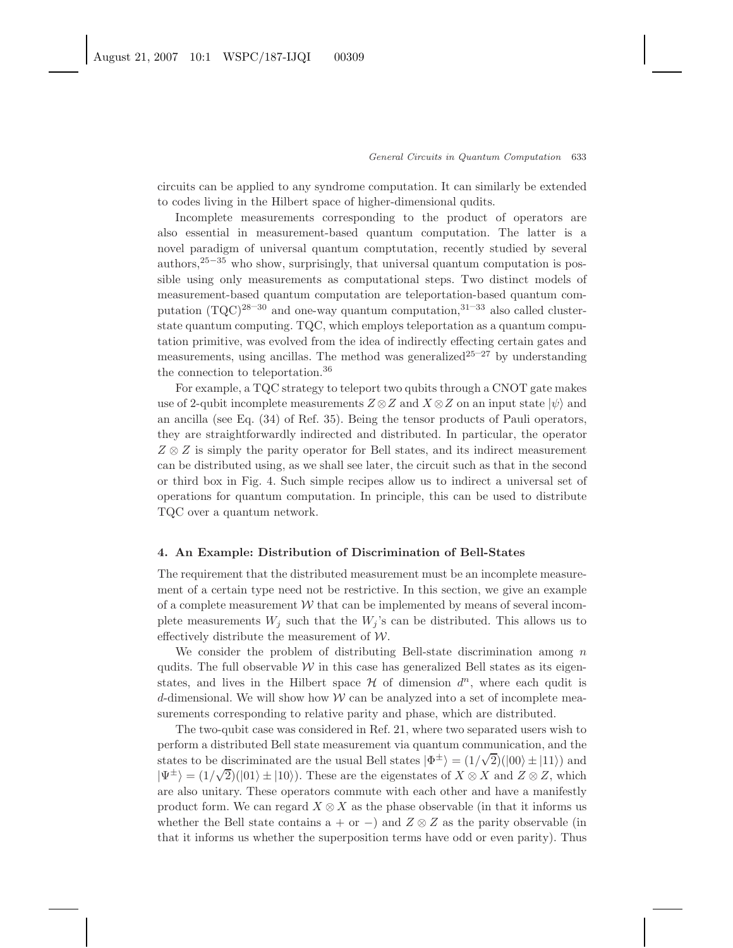circuits can be applied to any syndrome computation. It can similarly be extended to codes living in the Hilbert space of higher-dimensional qudits.

Incomplete measurements corresponding to the product of operators are also essential in measurement-based quantum computation. The latter is a novel paradigm of universal quantum comptutation, recently studied by several authors,<sup>25−35</sup> who show, surprisingly, that universal quantum computation is possible using only measurements as computational steps. Two distinct models of measurement-based quantum computation are teleportation-based quantum computation  $(TQC)^{28-30}$  and one-way quantum computation,  $31-33$  also called clusterstate quantum computing. TQC, which employs teleportation as a quantum computation primitive, was evolved from the idea of indirectly effecting certain gates and measurements, using ancillas. The method was generalized  $25-27$  by understanding the connection to teleportation.<sup>36</sup>

For example, a TQC strategy to teleport two qubits through a CNOT gate makes use of 2-qubit incomplete measurements  $Z \otimes Z$  and  $X \otimes Z$  on an input state  $|\psi\rangle$  and an ancilla (see Eq. (34) of Ref. 35). Being the tensor products of Pauli operators, they are straightforwardly indirected and distributed. In particular, the operator  $Z \otimes Z$  is simply the parity operator for Bell states, and its indirect measurement can be distributed using, as we shall see later, the circuit such as that in the second or third box in Fig. 4. Such simple recipes allow us to indirect a universal set of operations for quantum computation. In principle, this can be used to distribute TQC over a quantum network.

### **4. An Example: Distribution of Discrimination of Bell-States**

The requirement that the distributed measurement must be an incomplete measurement of a certain type need not be restrictive. In this section, we give an example of a complete measurement  $W$  that can be implemented by means of several incomplete measurements  $W_i$  such that the  $W_i$ 's can be distributed. This allows us to effectively distribute the measurement of  $W$ .

We consider the problem of distributing Bell-state discrimination among  $n$ qudits. The full observable  $W$  in this case has generalized Bell states as its eigenstates, and lives in the Hilbert space  $\mathcal H$  of dimension  $d^n$ , where each qudit is d-dimensional. We will show how  $W$  can be analyzed into a set of incomplete measurements corresponding to relative parity and phase, which are distributed.

The two-qubit case was considered in Ref. 21, where two separated users wish to perform a distributed Bell state measurement via quantum communication, and the states to be discriminated are the usual Bell states  $|\Phi^{\pm}\rangle = (1/\sqrt{2})(|00\rangle \pm |11\rangle)$  and  $|\Psi^{\pm}\rangle = (1/\sqrt{2})(|01\rangle \pm |10\rangle)$ . These are the eigenstates of  $X \otimes X$  and  $Z \otimes Z$ , which are also unitary. These operators commute with each other and have a manifestly product form. We can regard  $X \otimes X$  as the phase observable (in that it informs us whether the Bell state contains a + or  $-$ ) and  $Z \otimes Z$  as the parity observable (in that it informs us whether the superposition terms have odd or even parity). Thus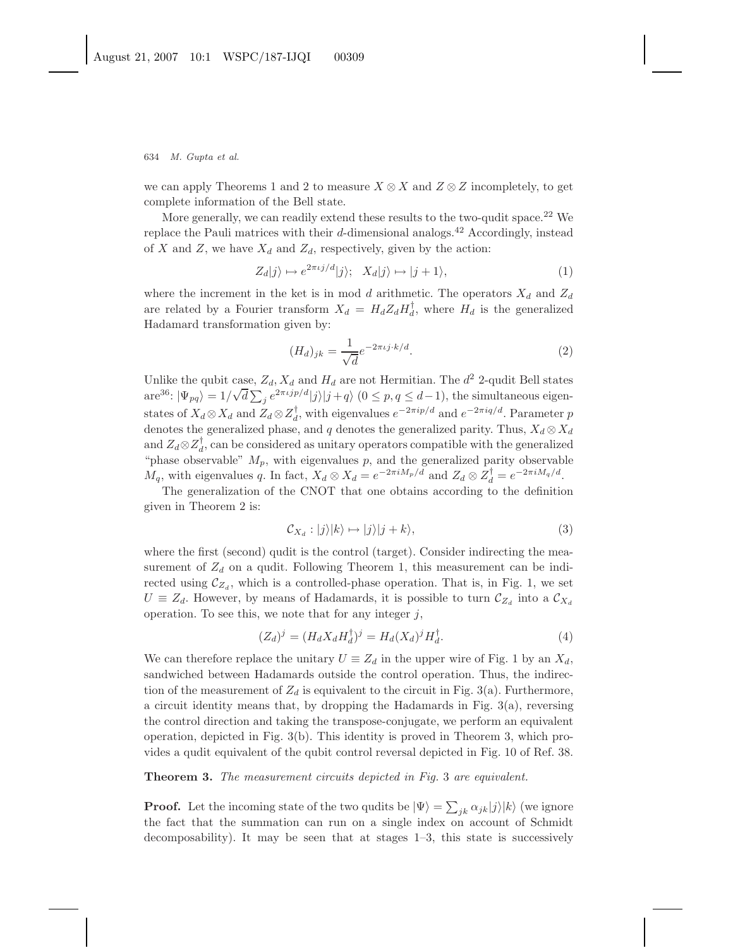634 *M. Gupta et al.*

we can apply Theorems 1 and 2 to measure  $X \otimes X$  and  $Z \otimes Z$  incompletely, to get complete information of the Bell state.

More generally, we can readily extend these results to the two-qudit space.<sup>22</sup> We replace the Pauli matrices with their  $d$ -dimensional analogs.<sup>42</sup> Accordingly, instead of X and Z, we have  $X_d$  and  $Z_d$ , respectively, given by the action:

$$
Z_d|j\rangle \mapsto e^{2\pi\iota j/d}|j\rangle; \quad X_d|j\rangle \mapsto |j+1\rangle,\tag{1}
$$

where the increment in the ket is in mod d arithmetic. The operators  $X_d$  and  $Z_d$ are related by a Fourier transform  $X_d = H_d Z_d H_d^{\dagger}$ , where  $H_d$  is the generalized Hadamard transformation given by:

$$
(H_d)_{jk} = \frac{1}{\sqrt{d}} e^{-2\pi \iota j \cdot k/d}.
$$
\n<sup>(2)</sup>

Unlike the qubit case,  $Z_d$ ,  $X_d$  and  $H_d$  are not Hermitian. The  $d^2$  2-qudit Bell states are<sup>36</sup>:  $|\Psi_{pq}\rangle = 1/\sqrt{d} \sum_j e^{2\pi \iota j p/d} |j\rangle |j+q\rangle$   $(0 \le p, q \le d-1)$ , the simultaneous eigenstates of  $X_d \otimes X_d$  and  $Z_d \otimes Z_d^{\dagger}$ , with eigenvalues  $e^{-2\pi i p/d}$  and  $e^{-2\pi i q/d}$ . Parameter  $p$ denotes the generalized phase, and q denotes the generalized parity. Thus,  $X_d \otimes X_d$ and  $Z_d \otimes Z_d^{\dagger}$ , can be considered as unitary operators compatible with the generalized "phase observable"  $M_p$ , with eigenvalues  $p$ , and the generalized parity observable  $M_q$ , with eigenvalues q. In fact,  $X_d \otimes X_d = e^{-2\pi i M_p/d}$  and  $Z_d \otimes Z_d^{\dagger} = e^{-2\pi i M_q/d}$ .

The generalization of the CNOT that one obtains according to the definition given in Theorem 2 is:

$$
\mathcal{C}_{X_d}:|j\rangle|k\rangle \mapsto |j\rangle|j+k\rangle,\tag{3}
$$

where the first (second) qudit is the control (target). Consider indirecting the measurement of  $Z_d$  on a qudit. Following Theorem 1, this measurement can be indirected using  $\mathcal{C}_{Z_d}$ , which is a controlled-phase operation. That is, in Fig. 1, we set  $U \equiv Z_d$ . However, by means of Hadamards, it is possible to turn  $\mathcal{C}_{Z_d}$  into a  $\mathcal{C}_{X_d}$ operation. To see this, we note that for any integer  $j$ ,

$$
(Z_d)^j = (H_d X_d H_d^{\dagger})^j = H_d (X_d)^j H_d^{\dagger}.
$$
\n
$$
(4)
$$

We can therefore replace the unitary  $U \equiv Z_d$  in the upper wire of Fig. 1 by an  $X_d$ , sandwiched between Hadamards outside the control operation. Thus, the indirection of the measurement of  $Z_d$  is equivalent to the circuit in Fig. 3(a). Furthermore, a circuit identity means that, by dropping the Hadamards in Fig. 3(a), reversing the control direction and taking the transpose-conjugate, we perform an equivalent operation, depicted in Fig. 3(b). This identity is proved in Theorem 3, which provides a qudit equivalent of the qubit control reversal depicted in Fig. 10 of Ref. 38.

**Theorem 3.** *The measurement circuits depicted in Fig.* 3 *are equivalent.*

**Proof.** Let the incoming state of the two qudits be  $|\Psi\rangle = \sum_{jk} \alpha_{jk} |j\rangle |k\rangle$  (we ignore the fact that the summation can run on a single index on account of Schmidt decomposability). It may be seen that at stages 1–3, this state is successively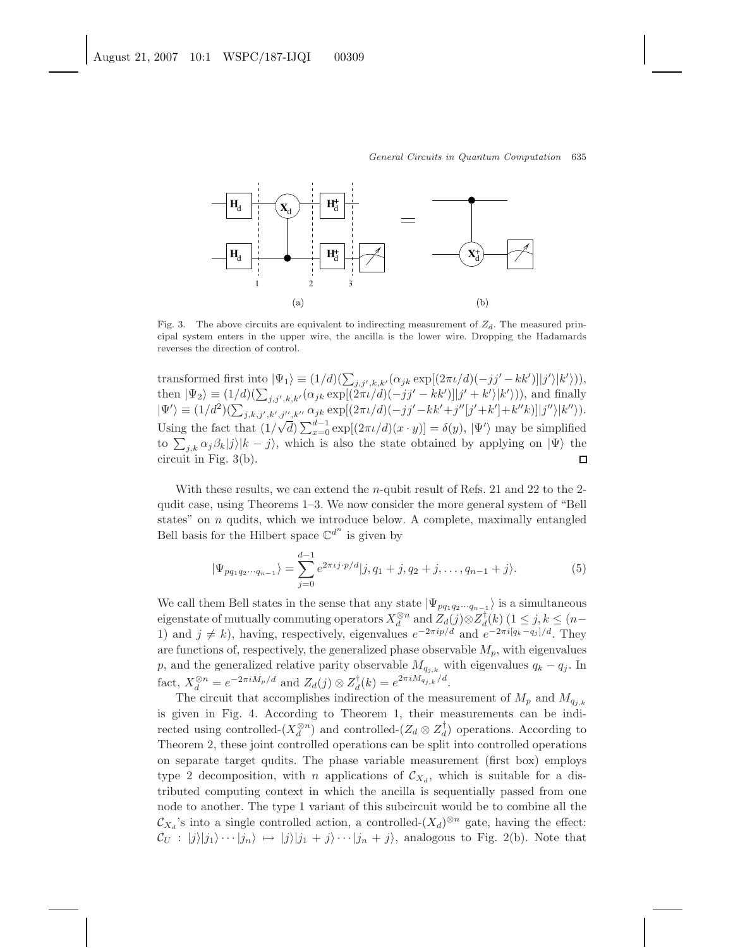

Fig. 3. The above circuits are equivalent to indirecting measurement of  $Z_d$ . The measured principal system enters in the upper wire, the ancilla is the lower wire. Dropping the Hadamards reverses the direction of control.

transformed first into  $|\Psi_1\rangle \equiv (1/d)(\sum_{j,j',k,k'} (\alpha_{jk} \exp[(2\pi \iota/d)(-jj'-kk')]|j'\rangle|k'\rangle)),$ then  $|\Psi_2\rangle \equiv (1/d)(\sum_{j,j',k,k'} (\alpha_{jk} \exp[(2\pi \iota/d)(-jj'-kk')]j'+k'\rangle |k'\rangle)),$  and finally  $|\Psi'\rangle \equiv (1/d^2)(\sum_{j,k,j',k',j'',k''}\alpha_{jk} \exp[(2\pi \iota/d)(-jj'-kk'+j''[j'+k']+k''k)]|j''\rangle|k''\rangle).$ Using the fact that  $(1/\sqrt{d})\sum_{x=0}^{d-1} \exp[(2\pi \iota/d)(x \cdot y)] = \delta(y), |\Psi'\rangle$  may be simplified to  $\sum_{j,k} \alpha_j \beta_k |j\rangle |k-j\rangle$ , which is also the state obtained by applying on  $|\Psi\rangle$  the circuit in Fig. 3(b).  $\Box$ 

With these results, we can extend the *n*-qubit result of Refs. 21 and 22 to the 2qudit case, using Theorems 1–3. We now consider the more general system of "Bell states" on  $n$  qudits, which we introduce below. A complete, maximally entangled Bell basis for the Hilbert space  $\mathbb{C}^{d^n}$  is given by

$$
|\Psi_{pq_1q_2\cdots q_{n-1}}\rangle = \sum_{j=0}^{d-1} e^{2\pi\iota j \cdot p/d} |j, q_1 + j, q_2 + j, \dots, q_{n-1} + j\rangle.
$$
 (5)

We call them Bell states in the sense that any state  $|\Psi_{pq_1q_2\cdots q_{n-1}}\rangle$  is a simultaneous eigenstate of mutually commuting operators  $X_d^{\otimes n}$  and  $Z_d(j) \otimes Z_d^{\dagger}(k)$  (1 ≤ j, k ≤ (n-1) and  $j \neq k$ , having, respectively, eigenvalues  $e^{-2\pi i p/d}$  and  $e^{-2\pi i [q_k-q_j]/d}$ . They are functions of, respectively, the generalized phase observable  $M_p$ , with eigenvalues p, and the generalized relative parity observable  $M_{q_{j,k}}$  with eigenvalues  $q_k - q_j$ . In fact,  $X_d^{\otimes n} = e^{-2\pi i M_p/d}$  and  $Z_d(j) \otimes Z_d^{\dagger}(k) = e^{2\pi i M_{q_{j,k}}/d}$ .

The circuit that accomplishes indirection of the measurement of  $M_p$  and  $M_{q_{j,k}}$ is given in Fig. 4. According to Theorem 1, their measurements can be indirected using controlled- $(X_d^{\otimes n})$  and controlled- $(Z_d \otimes Z_d^{\dagger})$  operations. According to Theorem 2, these joint controlled operations can be split into controlled operations on separate target qudits. The phase variable measurement (first box) employs type 2 decomposition, with n applications of  $\mathcal{C}_{X_d}$ , which is suitable for a distributed computing context in which the ancilla is sequentially passed from one node to another. The type 1 variant of this subcircuit would be to combine all the  $\mathcal{C}_{X_d}$ 's into a single controlled action, a controlled- $(X_d)^{\otimes n}$  gate, having the effect:  $\mathcal{C}_U : |j\rangle |j_1\rangle \cdots |j_n\rangle \mapsto |j\rangle |j_1 + j\rangle \cdots |j_n + j\rangle$ , analogous to Fig. 2(b). Note that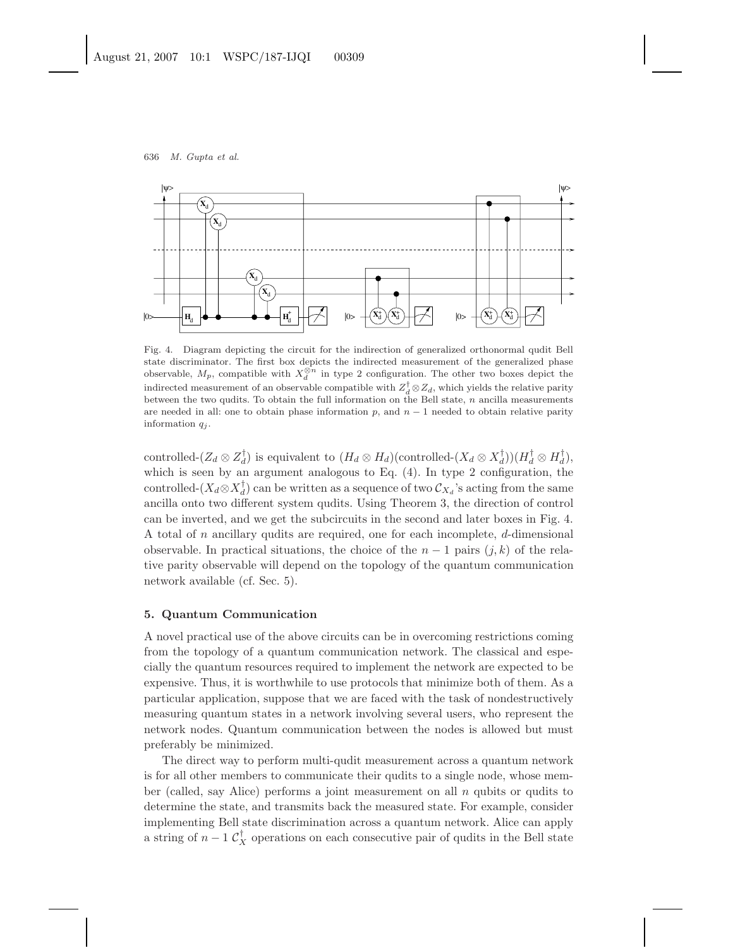

Fig. 4. Diagram depicting the circuit for the indirection of generalized orthonormal qudit Bell state discriminator. The first box depicts the indirected measurement of the generalized phase observable,  $M_p$ , compatible with  $X_d^{\otimes n}$  in type 2 configuration. The other two boxes depict the indirected measurement of an observable compatible with  $Z_d^{\dagger} \otimes Z_d$ , which yields the relative parity between the two qudits. To obtain the full information on the Bell state, *n* ancilla measurements are needed in all: one to obtain phase information *p*, and *n* − 1 needed to obtain relative parity information *qj* .

controlled- $(Z_d \otimes Z_d^{\dagger})$  is equivalent to  $(H_d \otimes H_d)(\text{controlled-(}X_d \otimes X_d^{\dagger})) (H_d^{\dagger} \otimes H_d^{\dagger}),$ which is seen by an argument analogous to Eq. (4). In type 2 configuration, the controlled- $(X_d \otimes X_d^{\dagger})$  can be written as a sequence of two  $\mathcal{C}_{X_d}$ 's acting from the same ancilla onto two different system qudits. Using Theorem 3, the direction of control can be inverted, and we get the subcircuits in the second and later boxes in Fig. 4. A total of n ancillary qudits are required, one for each incomplete,  $d$ -dimensional observable. In practical situations, the choice of the  $n-1$  pairs  $(j,k)$  of the relative parity observable will depend on the topology of the quantum communication network available (cf. Sec. 5).

### **5. Quantum Communication**

A novel practical use of the above circuits can be in overcoming restrictions coming from the topology of a quantum communication network. The classical and especially the quantum resources required to implement the network are expected to be expensive. Thus, it is worthwhile to use protocols that minimize both of them. As a particular application, suppose that we are faced with the task of nondestructively measuring quantum states in a network involving several users, who represent the network nodes. Quantum communication between the nodes is allowed but must preferably be minimized.

The direct way to perform multi-qudit measurement across a quantum network is for all other members to communicate their qudits to a single node, whose member (called, say Alice) performs a joint measurement on all  $n$  qubits or qudits to determine the state, and transmits back the measured state. For example, consider implementing Bell state discrimination across a quantum network. Alice can apply a string of  $n-1$   $\mathcal{C}_X^{\mathsf{T}}$  operations on each consecutive pair of qudits in the Bell state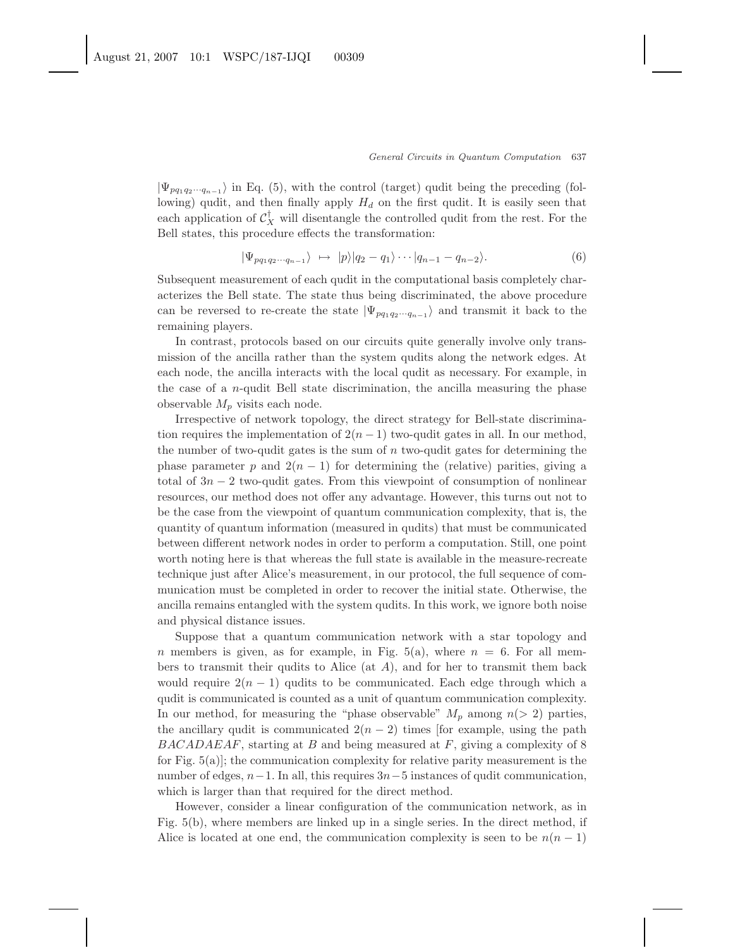$|\Psi_{pq_1q_2\cdots q_{n-1}}\rangle$  in Eq. (5), with the control (target) qudit being the preceding (following) qudit, and then finally apply  $H_d$  on the first qudit. It is easily seen that each application of  $\mathcal{C}_X^+$  will disentangle the controlled qudit from the rest. For the Bell states, this procedure effects the transformation:

$$
|\Psi_{pq_1q_2\cdots q_{n-1}}\rangle \mapsto |p\rangle|q_2-q_1\rangle\cdots|q_{n-1}-q_{n-2}\rangle. \tag{6}
$$

Subsequent measurement of each qudit in the computational basis completely characterizes the Bell state. The state thus being discriminated, the above procedure can be reversed to re-create the state  $|\Psi_{pq_1q_2\cdots q_{n-1}}\rangle$  and transmit it back to the remaining players.

In contrast, protocols based on our circuits quite generally involve only transmission of the ancilla rather than the system qudits along the network edges. At each node, the ancilla interacts with the local qudit as necessary. For example, in the case of a *n*-qudit Bell state discrimination, the ancilla measuring the phase observable  $M_p$  visits each node.

Irrespective of network topology, the direct strategy for Bell-state discrimination requires the implementation of  $2(n-1)$  two-qudit gates in all. In our method, the number of two-qudit gates is the sum of  $n$  two-qudit gates for determining the phase parameter p and  $2(n - 1)$  for determining the (relative) parities, giving a total of  $3n - 2$  two-qudit gates. From this viewpoint of consumption of nonlinear resources, our method does not offer any advantage. However, this turns out not to be the case from the viewpoint of quantum communication complexity, that is, the quantity of quantum information (measured in qudits) that must be communicated between different network nodes in order to perform a computation. Still, one point worth noting here is that whereas the full state is available in the measure-recreate technique just after Alice's measurement, in our protocol, the full sequence of communication must be completed in order to recover the initial state. Otherwise, the ancilla remains entangled with the system qudits. In this work, we ignore both noise and physical distance issues.

Suppose that a quantum communication network with a star topology and n members is given, as for example, in Fig. 5(a), where  $n = 6$ . For all members to transmit their qudits to Alice (at  $A$ ), and for her to transmit them back would require  $2(n - 1)$  qudits to be communicated. Each edge through which a qudit is communicated is counted as a unit of quantum communication complexity. In our method, for measuring the "phase observable"  $M_p$  among  $n(> 2)$  parties, the ancillary qudit is communicated  $2(n-2)$  times [for example, using the path  $BACADAEAF$ , starting at B and being measured at F, giving a complexity of 8 for Fig.  $5(a)$ ; the communication complexity for relative parity measurement is the number of edges,  $n-1$ . In all, this requires  $3n-5$  instances of qudit communication, which is larger than that required for the direct method.

However, consider a linear configuration of the communication network, as in Fig. 5(b), where members are linked up in a single series. In the direct method, if Alice is located at one end, the communication complexity is seen to be  $n(n-1)$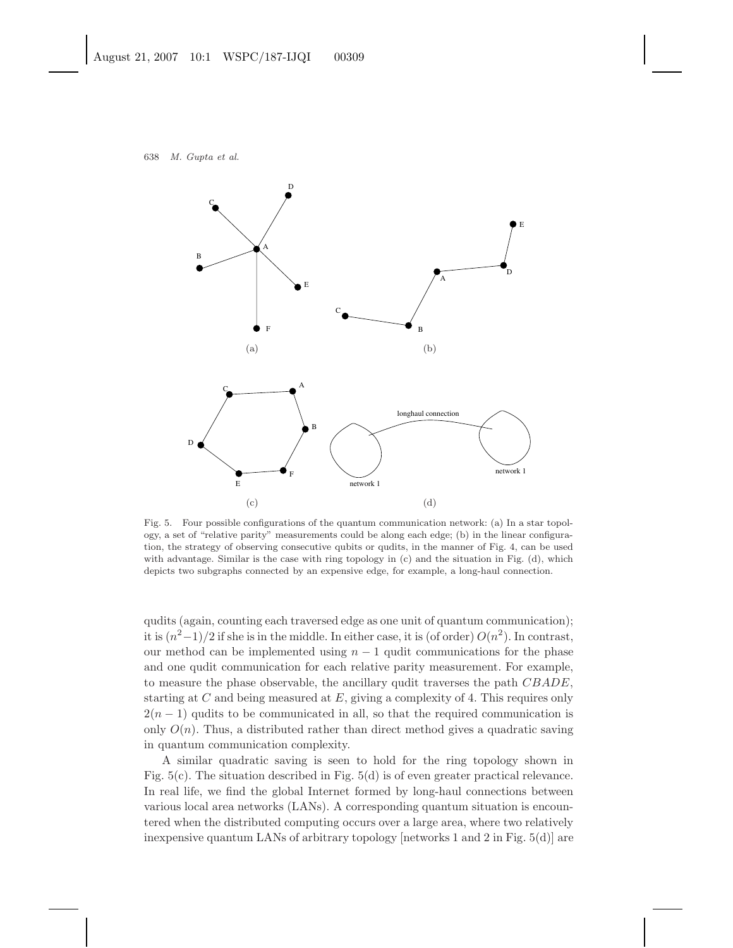

Fig. 5. Four possible configurations of the quantum communication network: (a) In a star topology, a set of "relative parity" measurements could be along each edge; (b) in the linear configuration, the strategy of observing consecutive qubits or qudits, in the manner of Fig. 4, can be used with advantage. Similar is the case with ring topology in (c) and the situation in Fig. (d), which depicts two subgraphs connected by an expensive edge, for example, a long-haul connection.

qudits (again, counting each traversed edge as one unit of quantum communication); it is  $(n^2-1)/2$  if she is in the middle. In either case, it is (of order)  $O(n^2)$ . In contrast, our method can be implemented using  $n - 1$  qudit communications for the phase and one qudit communication for each relative parity measurement. For example, to measure the phase observable, the ancillary qudit traverses the path CBADE, starting at  $C$  and being measured at  $E$ , giving a complexity of 4. This requires only  $2(n-1)$  qudits to be communicated in all, so that the required communication is only  $O(n)$ . Thus, a distributed rather than direct method gives a quadratic saving in quantum communication complexity.

A similar quadratic saving is seen to hold for the ring topology shown in Fig. 5(c). The situation described in Fig. 5(d) is of even greater practical relevance. In real life, we find the global Internet formed by long-haul connections between various local area networks (LANs). A corresponding quantum situation is encountered when the distributed computing occurs over a large area, where two relatively inexpensive quantum LANs of arbitrary topology [networks 1 and 2 in Fig. 5(d)] are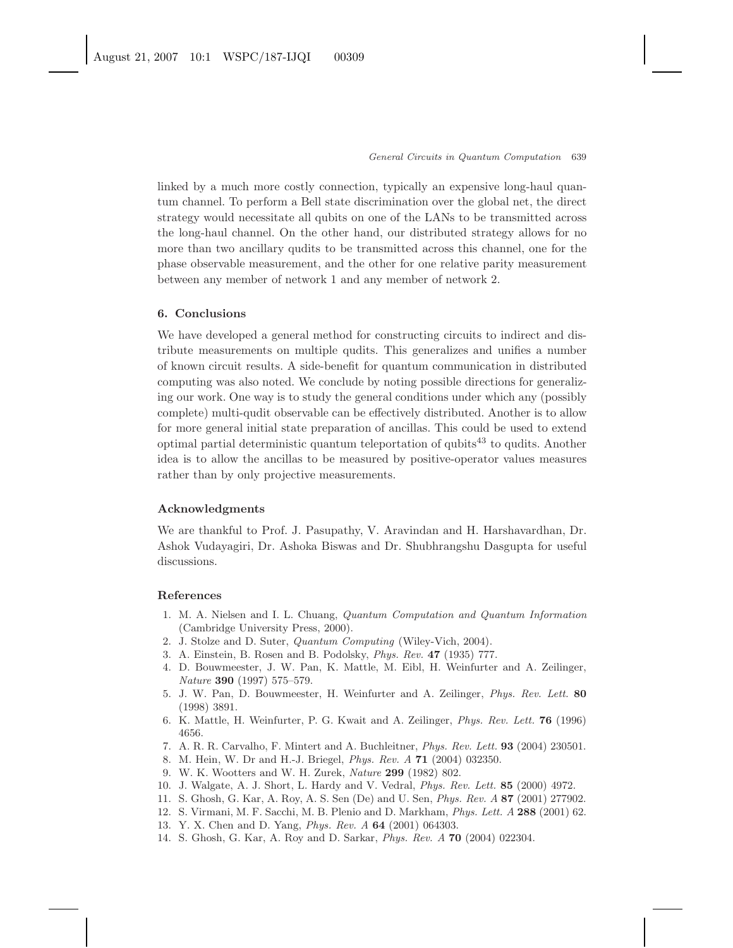linked by a much more costly connection, typically an expensive long-haul quantum channel. To perform a Bell state discrimination over the global net, the direct strategy would necessitate all qubits on one of the LANs to be transmitted across the long-haul channel. On the other hand, our distributed strategy allows for no more than two ancillary qudits to be transmitted across this channel, one for the phase observable measurement, and the other for one relative parity measurement between any member of network 1 and any member of network 2.

# **6. Conclusions**

We have developed a general method for constructing circuits to indirect and distribute measurements on multiple qudits. This generalizes and unifies a number of known circuit results. A side-benefit for quantum communication in distributed computing was also noted. We conclude by noting possible directions for generalizing our work. One way is to study the general conditions under which any (possibly complete) multi-qudit observable can be effectively distributed. Another is to allow for more general initial state preparation of ancillas. This could be used to extend optimal partial deterministic quantum teleportation of qubits<sup>43</sup> to qudits. Another idea is to allow the ancillas to be measured by positive-operator values measures rather than by only projective measurements.

### **Acknowledgments**

We are thankful to Prof. J. Pasupathy, V. Aravindan and H. Harshavardhan, Dr. Ashok Vudayagiri, Dr. Ashoka Biswas and Dr. Shubhrangshu Dasgupta for useful discussions.

### **References**

- 1. M. A. Nielsen and I. L. Chuang, *Quantum Computation and Quantum Information* (Cambridge University Press, 2000).
- 2. J. Stolze and D. Suter, *Quantum Computing* (Wiley-Vich, 2004).
- 3. A. Einstein, B. Rosen and B. Podolsky, *Phys. Rev.* **47** (1935) 777.
- 4. D. Bouwmeester, J. W. Pan, K. Mattle, M. Eibl, H. Weinfurter and A. Zeilinger, *Nature* **390** (1997) 575–579.
- 5. J. W. Pan, D. Bouwmeester, H. Weinfurter and A. Zeilinger, *Phys. Rev. Lett.* **80** (1998) 3891.
- 6. K. Mattle, H. Weinfurter, P. G. Kwait and A. Zeilinger, *Phys. Rev. Lett.* **76** (1996) 4656.
- 7. A. R. R. Carvalho, F. Mintert and A. Buchleitner, *Phys. Rev. Lett.* **93** (2004) 230501.
- 8. M. Hein, W. Dr and H.-J. Briegel, *Phys. Rev. A* **71** (2004) 032350.
- 9. W. K. Wootters and W. H. Zurek, *Nature* **299** (1982) 802.
- 10. J. Walgate, A. J. Short, L. Hardy and V. Vedral, *Phys. Rev. Lett.* **85** (2000) 4972.
- 11. S. Ghosh, G. Kar, A. Roy, A. S. Sen (De) and U. Sen, *Phys. Rev. A* **87** (2001) 277902.
- 12. S. Virmani, M. F. Sacchi, M. B. Plenio and D. Markham, *Phys. Lett. A* **288** (2001) 62.
- 13. Y. X. Chen and D. Yang, *Phys. Rev. A* **64** (2001) 064303.
- 14. S. Ghosh, G. Kar, A. Roy and D. Sarkar, *Phys. Rev. A* **70** (2004) 022304.